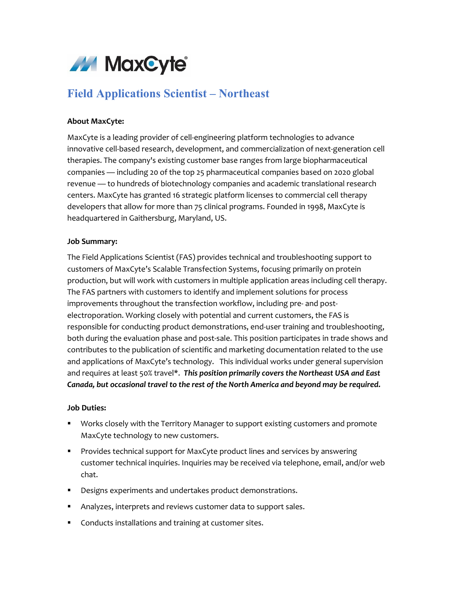

# **Field Applications Scientist – Northeast**

# **About MaxCyte:**

MaxCyte is a leading provider of cell-engineering platform technologies to advance innovative cell-based research, development, and commercialization of next-generation cell therapies. The company's existing customer base ranges from large biopharmaceutical companies — including 20 of the top 25 pharmaceutical companies based on 2020 global revenue — to hundreds of biotechnology companies and academic translational research centers. MaxCyte has granted 16 strategic platform licenses to commercial cell therapy developers that allow for more than 75 clinical programs. Founded in 1998, MaxCyte is headquartered in Gaithersburg, Maryland, US.

### **Job Summary:**

The Field Applications Scientist (FAS) provides technical and troubleshooting support to customers of MaxCyte's Scalable Transfection Systems, focusing primarily on protein production, but will work with customers in multiple application areas including cell therapy. The FAS partners with customers to identify and implement solutions for process improvements throughout the transfection workflow, including pre- and postelectroporation. Working closely with potential and current customers, the FAS is responsible for conducting product demonstrations, end-user training and troubleshooting, both during the evaluation phase and post-sale. This position participates in trade shows and contributes to the publication of scientific and marketing documentation related to the use and applications of MaxCyte's technology. This individual works under general supervision and requires at least 50% travel\*. *This position primarily covers the Northeast USA and East Canada, but occasional travel to the rest of the North America and beyond may be required.*

### **Job Duties:**

- Works closely with the Territory Manager to support existing customers and promote MaxCyte technology to new customers.
- **Provides technical support for MaxCyte product lines and services by answering** customer technical inquiries. Inquiries may be received via telephone, email, and/or web chat.
- **Designs experiments and undertakes product demonstrations.**
- Analyzes, interprets and reviews customer data to support sales.
- **Conducts installations and training at customer sites.**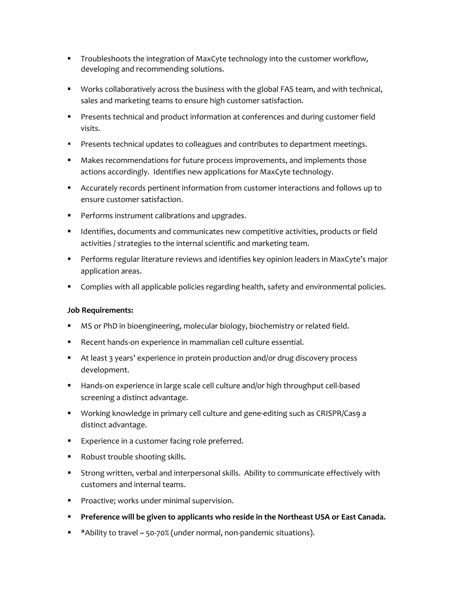- **Troubleshoots the integration of MaxCyte technology into the customer workflow,** developing and recommending solutions.
- **Works collaboratively across the business with the global FAS team, and with technical,** sales and marketing teams to ensure high customer satisfaction.
- **Presents technical and product information at conferences and during customer field** visits.
- **Presents technical updates to colleagues and contributes to department meetings.**
- Makes recommendations for future process improvements, and implements those actions accordingly. Identifies new applications for MaxCyte technology.
- Accurately records pertinent information from customer interactions and follows up to ensure customer satisfaction.
- **Performs instrument calibrations and upgrades.**
- **IDENTIFIER** Identifies, documents and communicates new competitive activities, products or field activities / strategies to the internal scientific and marketing team.
- Performs regular literature reviews and identifies key opinion leaders in MaxCyte's major application areas.
- **Complies with all applicable policies regarding health, safety and environmental policies.**

# **Job Requirements:**

- **MS or PhD in bioengineering, molecular biology, biochemistry or related field.**
- Recent hands-on experience in mammalian cell culture essential.
- At least 3 years' experience in protein production and/or drug discovery process development.
- **Hands-on experience in large scale cell culture and/or high throughput cell-based** screening a distinct advantage.
- Working knowledge in primary cell culture and gene-editing such as CRISPR/Cas9 a distinct advantage.
- **Experience in a customer facing role preferred.**
- **Robust trouble shooting skills.**
- Strong written, verbal and interpersonal skills. Ability to communicate effectively with customers and internal teams.
- **Proactive; works under minimal supervision.**
- **Preference will be given to applicants who reside in the Northeast USA or East Canada.**
- \* Ability to travel ~ 50-70% (under normal, non-pandemic situations).